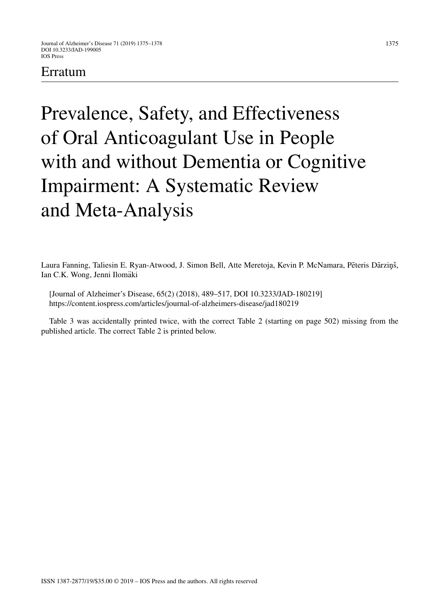## Erratum

Prevalence, Safety, and Effectiveness of Oral Anticoagulant Use in People with and without Dementia or Cognitive Impairment: A Systematic Review and Meta-Analysis

Laura Fanning, Taliesin E. Ryan-Atwood, J. Simon Bell, Atte Meretoja, Kevin P. McNamara, Pēteris Dārziņš, Ian C.K. Wong, Jenni Ilomäki

[Journal of Alzheimer's Disease, 65(2) (2018), 489–517, DOI 10.3233/JAD-180219] <https://content.iospress.com/articles/journal-of-alzheimers-disease/jad180219>

Table 3 was accidentally printed twice, with the correct Table 2 (starting on page 502) missing from the published article. The correct Table 2 is printed below.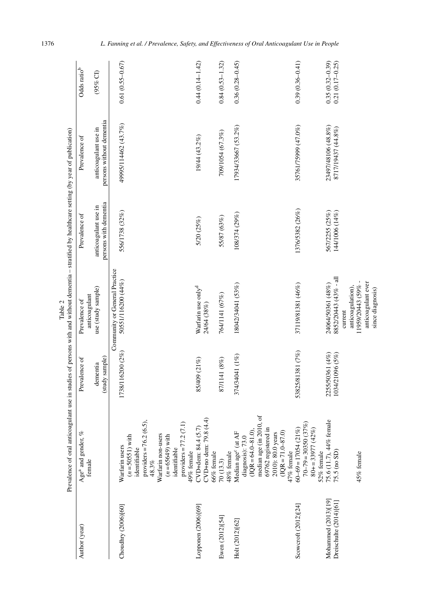|                        | Prevalence of oral anticoagulant use in studies of persons with and without dementia - stratified by healthcare setting (by year of publication) |                            | Table 2                                             |                                               |                                                  |                         |
|------------------------|--------------------------------------------------------------------------------------------------------------------------------------------------|----------------------------|-----------------------------------------------------|-----------------------------------------------|--------------------------------------------------|-------------------------|
| Author (year)          | Age <sup>a</sup> and gender, %<br>female                                                                                                         | Prevalence of              | anticoagulant<br>Prevalence of                      | Prevalence of                                 | Prevalence of                                    | Odds ratio <sup>b</sup> |
|                        |                                                                                                                                                  | (study sample)<br>dementia | use (study sample)                                  | persons with dementia<br>anticoagulant use in | persons without dementia<br>anticoagulant use in | $(95\%$ CI)             |
| Choudhry (2006)[60]    | Warfarin users                                                                                                                                   | 1738/116200 (2%)           | Community or General Practice<br>50551/116200 (44%) | 556/1738 (32%)                                | 49995/114462 (43.7%)                             | $0.61(0.55 - 0.67)$     |
|                        | $(n = 50551)$ with                                                                                                                               |                            |                                                     |                                               |                                                  |                         |
|                        | providers = $76.2(6.5)$ ,<br>identifiable                                                                                                        |                            |                                                     |                                               |                                                  |                         |
|                        | 48.3%                                                                                                                                            |                            |                                                     |                                               |                                                  |                         |
|                        | Warfarin non-users<br>$(n = 65649)$ with                                                                                                         |                            |                                                     |                                               |                                                  |                         |
|                        | identifiable                                                                                                                                     |                            |                                                     |                                               |                                                  |                         |
|                        | providers = $77.2(7.1)$                                                                                                                          |                            |                                                     |                                               |                                                  |                         |
|                        | 49% female                                                                                                                                       |                            |                                                     |                                               |                                                  |                         |
| Lopponen (2006)[69]    | CVD+no dem: 79.8 (4.4)<br>CVD+dem: 84.4 (5.7)                                                                                                    | 85/409 (21%)               | Warfarin use only <sup>d</sup><br>24/64 (38%)       | 5/20 (25%)                                    | 19/44 (43.2%)                                    | $0.44(0.14-1.42)$       |
|                        | 66% female                                                                                                                                       |                            |                                                     |                                               |                                                  |                         |
| Ewen (2012)[54]        | 70(13.3)                                                                                                                                         | 87/1141 (8%)               | 764/1141 (67%)                                      | 55/87 (63%)                                   | 709/1054 (67.3%)                                 | $0.84(0.53 - 1.32)$     |
|                        | 48% female                                                                                                                                       |                            |                                                     |                                               |                                                  |                         |
| Holt (2012)[62]        | Median age <sup>c</sup> (at AF<br>diagnosis): $73.0$                                                                                             | 374/34041 (1%)             | 18042/34041 (53%)                                   | 108/374 (29%)                                 | 17934/33667 (53.2%)                              | $0.36(0.28 - 0.45)$     |
|                        | $(1QR = 64.0 - 81.0)$ ,                                                                                                                          |                            |                                                     |                                               |                                                  |                         |
|                        | median age (in 2010,                                                                                                                             |                            |                                                     |                                               |                                                  |                         |
|                        | 69762 registered in                                                                                                                              |                            |                                                     |                                               |                                                  |                         |
|                        | 2010): 80.0 years                                                                                                                                |                            |                                                     |                                               |                                                  |                         |
|                        | $(QR = 71.0 - 87.0)$<br>47% female                                                                                                               |                            |                                                     |                                               |                                                  |                         |
| Scowcroft (2012)[24]   | $60-69 = 17054(21%)$                                                                                                                             | 53825/81381 (7%)           | 37119/81381 (46%)                                   | 1376/5382 (26%)                               | 35761/75999 (47.0%)                              | $0.39(0.36 - 0.41)$     |
|                        | $70-79 = 30350(37%)$                                                                                                                             |                            |                                                     |                                               |                                                  |                         |
|                        | $80+ = 33977(42\%)$<br>52% female                                                                                                                |                            |                                                     |                                               |                                                  |                         |
| Mohammed (2013)[19]    | 75.6 (11.7), 44% female                                                                                                                          | 2255/50361 (4%)            | 24064/50361 (48%)                                   | 567/2255 (25%)                                | 23497/48106 (48.8%)                              | $0.35(0.32 - 0.39)$     |
| Dreischulte (2014)[61] | 75.5 (no SD)                                                                                                                                     | 1034/21096 (5%)            | 8852/20443 (43% - all                               | 144/1006 (14%)                                | 8717/19437 (44.8%)                               | $0.21(0.17 - 0.25)$     |
|                        |                                                                                                                                                  |                            | current                                             |                                               |                                                  |                         |
|                        | 45% female                                                                                                                                       |                            | 11959/20443 (59% -<br>anticoagulation),             |                                               |                                                  |                         |
|                        |                                                                                                                                                  |                            | anticoagulant ever<br>since diagnosis)              |                                               |                                                  |                         |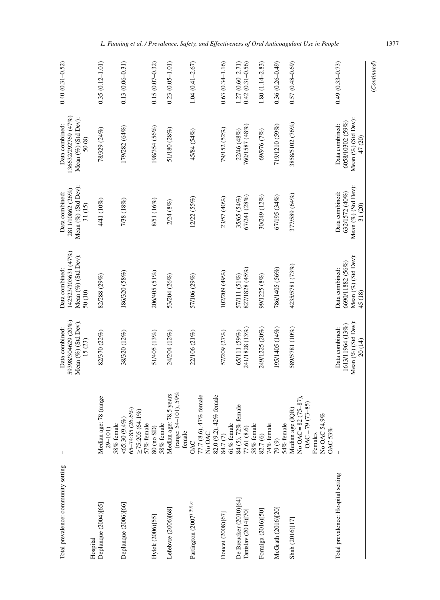| Total prevalence: community setting           |                                                                                                             | Mean (%) (Std Dev):<br>59398/304629 (20%)<br>Data combined:<br>$15(23)$ | 142523/303631 (47%)<br>Mean (%) (Std Dev):<br>Data combined:<br>50 (10) | Mean (%) (Std Dev):<br>2811/10862 (26%)<br>Data combined:<br>31 (15) | 136632/292769 (47%)<br>Mean (%) (Std Dev):<br>Data combined:<br>50(8) | $0.40(0.31 - 0.52)$                  |
|-----------------------------------------------|-------------------------------------------------------------------------------------------------------------|-------------------------------------------------------------------------|-------------------------------------------------------------------------|----------------------------------------------------------------------|-----------------------------------------------------------------------|--------------------------------------|
| Deplanque (2004)[65]<br>Hospital              | 78 (range<br>Median age:<br>58% female<br>29-101)                                                           | 82/370 (22%)                                                            | 82/288 (29%)                                                            | 4/41 (10%)                                                           | 78/329 (24%)                                                          | $0.35(0.12 - 1.01)$                  |
| Deplanque (2006)[66]                          | 65-74:85 (26.6%)<br>$\geq$ 75:205 (64.1%)<br>$<65:30(9.4\%)$<br>57% female                                  | 38/320 (12%)                                                            | 186/320 (58%)                                                           | 7/38 (18%)                                                           | 179/282 (64%)                                                         | $0.13(0.06 - 0.31)$                  |
| Hylek (2006)[55]                              | 58% female<br>80 (no SD)                                                                                    | 51/405 (13%)                                                            | 206/405 (51%)                                                           | 8/51 (16%)                                                           | 198/354 (56%)                                                         | $0.15(0.07 - 0.32)$                  |
| Lefebvre (2006)[68]                           | (range: $54 - 101$ ), $59\%$<br>Median age: 78.5 years<br>female                                            | 24/204 (12%)                                                            | 53/204 (26%)                                                            | 2/24(8%)                                                             | 51/180 (28%)                                                          | $0.23(0.05 - 1.01)$                  |
| Partington (2007)[59].e                       | 77.7 (8.6), 47% female<br>No OAC<br>OAC                                                                     | 22/106 (21%)                                                            | 57/106 (29%)                                                            | 12/22(55%)                                                           | 45/84 (54%)                                                           | $1.04(0.41 - 2.67)$                  |
| Doucet (2008)[67]                             | 82.0 (9.2), 42% female<br>84.7 (7)                                                                          | 57/209 (27%)                                                            | 102/209 (49%)                                                           | 23/57 (40%)                                                          | 79/152 (52%)                                                          | $0.63(0.34-1.16)$                    |
| De Breucker (2010)[64]<br>Tanislav (2014)[70] | 61% female<br>84 (5), $72\%$ female<br>$58\%$ female<br>77.61 (8.6)                                         | $\frac{65/111}{59\%} \frac{(59\%)}{241/1828}$                           | 827/1828 (45%)<br>57/111 (51%)                                          | 67/241 (28%)<br>35/65 (54%)                                          | 760/1587 (48%)<br>22/46 (48%)                                         | $1.27(0.60-2.71)$<br>0.42(0.31-0.56) |
| Formiga (2016)[50]                            | $82.7(6)$<br>74% female                                                                                     | 249/1225 (20%)                                                          | 99/1225 (8%)                                                            | 30/249 (12%)                                                         | 69/976 (7%)                                                           | $1.80(1.14-2.83)$                    |
| McGrath (2016)[20]                            | 54% female<br>79(9)                                                                                         | 195/1405 (14%)                                                          | 786/1405 (56%)                                                          | 67/195 (34%)                                                         | 719/1210 (59%)                                                        | $0.36(0.26 - 0.49)$                  |
| Shah (2016)[17]                               | No OAC = $82(75-87)$ ,<br>$OAC = 79(73-85)$<br>Median age (IQR)<br>No OAC 54.9%<br><b>OAC53%</b><br>Females | 589/5781 (10%)                                                          | 4235/5781 (73%)                                                         | 377/589 (64%)                                                        | 3858/5102 (76%)                                                       | $0.57(0.48 - 0.69)$                  |
| Total prevalence: Hospital setting            |                                                                                                             | Mean (%) (Std Dev):<br>1613/11964 (13%)<br>Data combined:<br>20 (14)    | Mean (%) (Std Dev):<br>6690/11882 (56%)<br>Data combined:<br>45 (18)    | Mean (%) (Std Dev):<br>Data combined:<br>632/1572 (40%)<br>31 (20)   | Mean (%) (Std Dev):<br>6058/10302 (59%)<br>Data combined:<br>47 (20)  | $0.49(0.33 - 0.73)$                  |
|                                               |                                                                                                             |                                                                         |                                                                         |                                                                      |                                                                       | (Continued)                          |